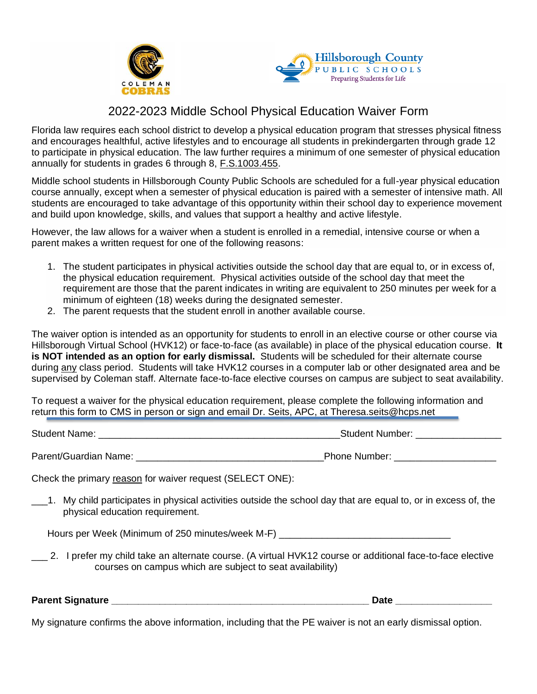



## 2022-2023 Middle School Physical Education Waiver Form

Florida law requires each school district to develop a physical education program that stresses physical fitness and encourages healthful, active lifestyles and to encourage all students in prekindergarten through grade 12 to participate in physical education. The law further requires a minimum of one semester of physical education annually for students in grades 6 through 8, [F.S.1003.455.](http://www.leg.state.fl.us/statutes/index.cfm?mode=View%20Statutes&SubMenu=1&App_mode=Display_Statute&Search_String=F.S.+1003.455&URL=1000-1099/1003/Sections/1003.455.html)

Middle school students in Hillsborough County Public Schools are scheduled for a full-year physical education course annually, except when a semester of physical education is paired with a semester of intensive math. All students are encouraged to take advantage of this opportunity within their school day to experience movement and build upon knowledge, skills, and values that support a healthy and active lifestyle.

However, the law allows for a waiver when a student is enrolled in a remedial, intensive course or when a parent makes a written request for one of the following reasons:

- 1. The student participates in physical activities outside the school day that are equal to, or in excess of, the physical education requirement. Physical activities outside of the school day that meet the requirement are those that the parent indicates in writing are equivalent to 250 minutes per week for a minimum of eighteen (18) weeks during the designated semester.
- 2. The parent requests that the student enroll in another available course.

The waiver option is intended as an opportunity for students to enroll in an elective course or other course via Hillsborough Virtual School (HVK12) or face-to-face (as available) in place of the physical education course. **It is NOT intended as an option for early dismissal.** Students will be scheduled for their alternate course during any class period. Students will take HVK12 courses in a computer lab or other designated area and be supervised by Coleman staff. Alternate face-to-face elective courses on campus are subject to seat availability.

To request a waiver for the physical education requirement, please complete the following information and return this form to CMS in person or sign and email Dr. Seits, APC, at Theresa.seits@hcps.net

Student Name: **Example 2018** Student Number: **Example 2018** Student Number: **Example 2018** 

Parent/Guardian Name: etc. and the set of the set of the Phone Number:  $\blacksquare$ 

Check the primary reason for waiver request (SELECT ONE):

\_\_\_1. My child participates in physical activities outside the school day that are equal to, or in excess of, the physical education requirement.

Hours per Week (Minimum of 250 minutes/week M-F)

\_\_\_ 2. I prefer my child take an alternate course. (A virtual HVK12 course or additional face-to-face elective courses on campus which are subject to seat availability)

| <b>Parent Signature</b> | <b>sec</b> |
|-------------------------|------------|
|                         |            |

My signature confirms the above information, including that the PE waiver is not an early dismissal option.